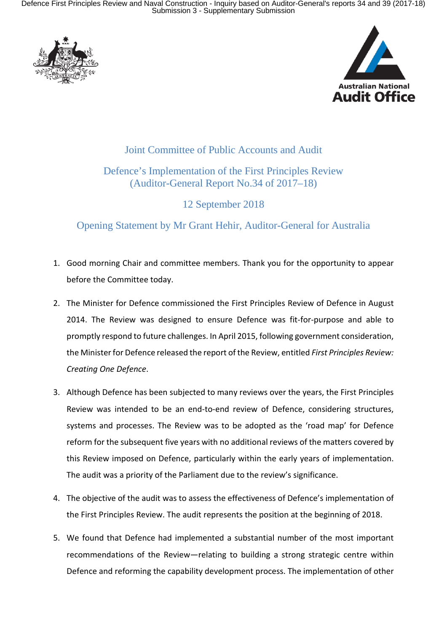Defence First Principles Review and Naval Construction - Inquiry based on Auditor-General's reports 34 and 39 (2017-18) Submission 3 - Supplementary Submission





## Joint Committee of Public Accounts and Audit

## Defence's Implementation of the First Principles Review (Auditor-General Report No.34 of 2017–18)

12 September 2018

Opening Statement by Mr Grant Hehir, Auditor-General for Australia

- 1. Good morning Chair and committee members. Thank you for the opportunity to appear before the Committee today.
- 2. The Minister for Defence commissioned the First Principles Review of Defence in August 2014. The Review was designed to ensure Defence was fit-for-purpose and able to promptly respond to future challenges. In April 2015, following government consideration, the Minister for Defence released the report of the Review, entitled *First Principles Review: Creating One Defence*.
- 3. Although Defence has been subjected to many reviews over the years, the First Principles Review was intended to be an end-to-end review of Defence, considering structures, systems and processes. The Review was to be adopted as the 'road map' for Defence reform for the subsequent five years with no additional reviews of the matters covered by this Review imposed on Defence, particularly within the early years of implementation. The audit was a priority of the Parliament due to the review's significance.
- 4. The objective of the audit was to assess the effectiveness of Defence's implementation of the First Principles Review. The audit represents the position at the beginning of 2018.
- 5. We found that Defence had implemented a substantial number of the most important recommendations of the Review—relating to building a strong strategic centre within Defence and reforming the capability development process. The implementation of other